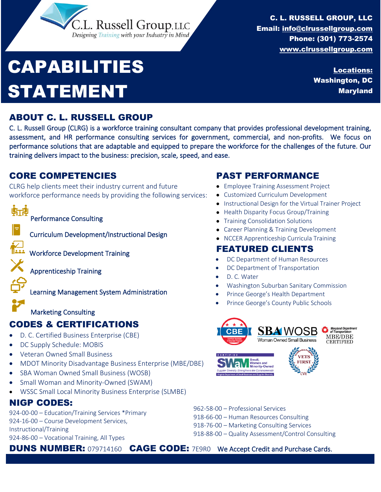# CAPABILITIES STATEMENT

C. L. RUSSELL GROUP, LLC Email: [info@clrussellgroup.com](mailto:info@clrussellgroup.com) Phone: (301) 773-2574 [www.clrussellgroup.com](http://www.clrussellgroup.com/)

> Locations: Washington, DC Maryland

#### ABOUT C. L. RUSSELL GROUP

C. L. Russell Group (CLRG) is a workforce training consultant company that provides professional development training, assessment, and HR performance consulting services for government, commercial, and non-profits. We focus on performance solutions that are adaptable and equipped to prepare the workforce for the challenges of the future. Our training delivers impact to the business: precision, scale, speed, and ease.

#### CORE COMPETENCIES

CLRG help clients meet their industry current and future workforce performance needs by providing the following services:

L. Russell Group, LLC Designing Training with your Industry in Mind



Apprenticeship Training

Learning Management System Administration

Marketing Consulting

### CODES & CERTIFICATIONS

- D. C. Certified Business Enterprise (CBE)
- DC Supply Schedule: MOBIS
- Veteran Owned Small Business
- MDOT Minority Disadvantage Business Enterprise (MBE/DBE)
- SBA Woman Owned Small Business (WOSB)
- Small Woman and Minority-Owned (SWAM)
- WSSC Small Local Minority Business Enterprise (SLMBE)

### NIGP CODES:

924-00-00 – Education/Training Services \*Primary 924-16-00 – Course Development Services, Instructional/Training 924-86-00 – Vocational Training, All Types

962-58-00 – Professional Services 918-66-00 – Human Resources Consulting 918-76-00 – Marketing Consulting Services

918-88-00 – Quality Assessment/Control Consulting

**DUNS NUMBER:** 079714160 CAGE CODE: 7E9R0 We Accept Credit and Purchase Cards.

### PAST PERFORMANCE

- Employee Training Assessment Project
- Customized Curriculum Development
- Instructional Design for the Virtual Trainer Project
- Health Disparity Focus Group/Training
- Training Consolidation Solutions
- Career Planning & Training Development
- NCCER Apprenticeship Curricula Training

### FEATURED CLIENTS

- DC Department of Human Resources
- DC Department of Transportation
- D. C. Water
- Washington Suburban Sanitary Commission
- Prince George's Health Department
- Prince George's County Public Schools

 $\overline{a}$